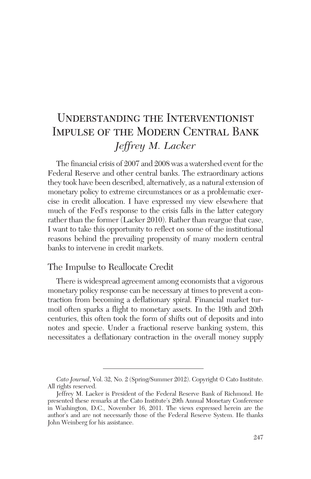# Understanding the Interventionist Impulse of the Modern Central Bank *Jeffrey M. Lacker*

The financial crisis of 2007 and 2008 was a watershed event for the Federal Reserve and other central banks. The extraordinary actions they took have been described, alternatively, as a natural extension of monetary policy to extreme circumstances or as a problematic exercise in credit allocation. I have expressed my view elsewhere that much of the Fed's response to the crisis falls in the latter category rather than the former (Lacker 2010). Rather than reargue that case, I want to take this opportunity to reflect on some of the institutional reasons behind the prevailing propensity of many modern central banks to intervene in credit markets.

## The Impulse to Reallocate Credit

There is widespread agreement among economists that a vigorous monetary policy response can be necessary at times to prevent a contraction from becoming a deflationary spiral. Financial market turmoil often sparks a flight to monetary assets. In the 19th and 20th centuries, this often took the form of shifts out of deposits and into notes and specie. Under a fractional reserve banking system, this necessitates a deflationary contraction in the overall money supply

*Cato Journal*, Vol. 32, No. 2 (Spring/Summer 2012). Copyright © Cato Institute. All rights reserved.

Jeffrey M. Lacker is President of the Federal Reserve Bank of Richmond. He presented these remarks at the Cato Institute's 29th Annual Monetary Conference in Washington, D.C., November 16, 2011. The views expressed herein are the author's and are not necessarily those of the Federal Reserve System. He thanks John Weinberg for his assistance.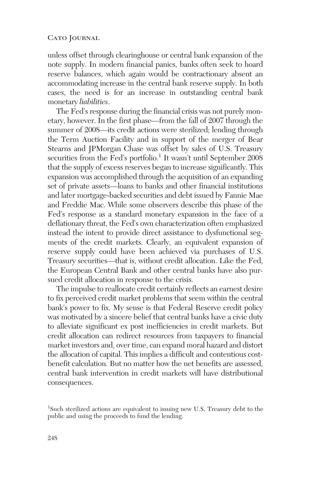unless offset through clearinghouse or central bank expansion of the note supply. In modern financial panics, banks often seek to hoard reserve balances, which again would be contractionary absent an accommodating increase in the central bank reserve supply. In both cases, the need is for an increase in outstanding central bank monetary *liabilities*.

The Fed's response during the financial crisis was not purely monetary, however. In the first phase—from the fall of 2007 through the summer of 2008—its credit actions were sterilized; lending through the Term Auction Facility and in support of the merger of Bear Stearns and JPMorgan Chase was offset by sales of U.S. Treasury securities from the Fed's portfolio.<sup>1</sup> It wasn't until September 2008 that the supply of excess reserves began to increase significantly. This expansion was accomplished through the acquisition of an expanding set of private assets—loans to banks and other financial institutions and later mortgage-backed securities and debt issued by Fannie Mae and Freddie Mac. While some observers describe this phase of the Fed's response as a standard monetary expansion in the face of a deflationary threat, the Fed's own characterization often emphasized instead the intent to provide direct assistance to dysfunctional segments of the credit markets. Clearly, an equivalent expansion of reserve supply could have been achieved via purchases of U.S. Treasury securities—that is, without credit allocation. Like the Fed, the European Central Bank and other central banks have also pursued credit allocation in response to the crisis.

The impulse to reallocate credit certainly reflects an earnest desire to fix perceived credit market problems that seem within the central bank's power to fix. My sense is that Federal Reserve credit policy was motivated by a sincere belief that central banks have a civic duty to alleviate significant ex post inefficiencies in credit markets. But credit allocation can redirect resources from taxpayers to financial market investors and, over time, can expand moral hazard and distort the allocation of capital. This implies a difficult and contentious costbenefit calculation. But no matter how the net benefits are assessed, central bank intervention in credit markets will have distributional consequences.

<sup>1</sup> Such sterilized actions are equivalent to issuing new U.S. Treasury debt to the public and using the proceeds to fund the lending.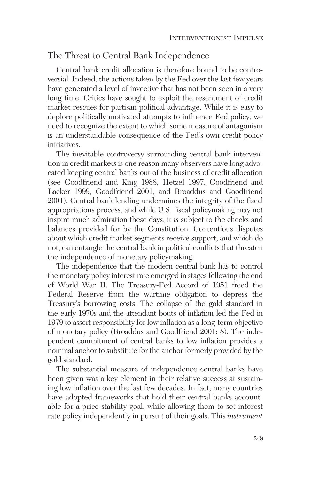# The Threat to Central Bank Independence

Central bank credit allocation is therefore bound to be controversial. Indeed, the actions taken by the Fed over the last few years have generated a level of invective that has not been seen in a very long time. Critics have sought to exploit the resentment of credit market rescues for partisan political advantage. While it is easy to deplore politically motivated attempts to influence Fed policy, we need to recognize the extent to which some measure of antagonism is an understandable consequence of the Fed's own credit policy initiatives.

The inevitable controversy surrounding central bank intervention in credit markets is one reason many observers have long advocated keeping central banks out of the business of credit allocation (see Goodfriend and King 1988, Hetzel 1997, Goodfriend and Lacker 1999, Goodfriend 2001, and Broaddus and Goodfriend 2001). Central bank lending undermines the integrity of the fiscal appropriations process, and while U.S. fiscal policymaking may not inspire much admiration these days, it *is* subject to the checks and balances provided for by the Constitution. Contentious disputes about which credit market segments receive support, and which do not, can entangle the central bank in political conflicts that threaten the independence of monetary policymaking.

The independence that the modern central bank has to control the monetary policy interest rate emerged in stages following the end of World War II. The Treasury-Fed Accord of 1951 freed the Federal Reserve from the wartime obligation to depress the Treasury's borrowing costs. The collapse of the gold standard in the early 1970s and the attendant bouts of inflation led the Fed in 1979 to assert responsibility for low inflation as a long-term objective of monetary policy (Broaddus and Goodfriend 2001: 8). The independent commitment of central banks to low inflation provides a nominal anchor to substitute for the anchor formerly provided by the gold standard.

The substantial measure of independence central banks have been given was a key element in their relative success at sustaining low inflation over the last few decades. In fact, many countries have adopted frameworks that hold their central banks accountable for a price stability goal, while allowing them to set interest rate policy independently in pursuit of their goals. This *instrument*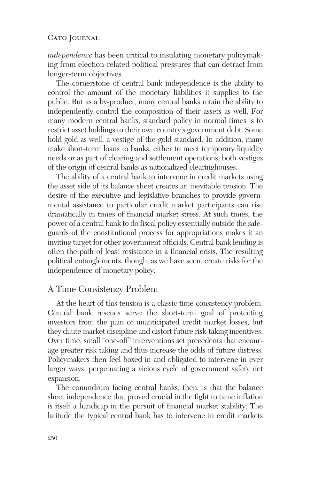#### CATO JOURNAL

*independence* has been critical to insulating monetary policymaking from election-related political pressures that can detract from longer-term objectives.

The cornerstone of central bank independence is the ability to control the amount of the monetary liabilities it supplies to the public. But as a by-product, many central banks retain the ability to independently control the composition of their assets as well. For many modern central banks, standard policy in normal times is to restrict asset holdings to their own country's government debt. Some hold gold as well, a vestige of the gold standard. In addition, many make short-term loans to banks, either to meet temporary liquidity needs or as part of clearing and settlement operations, both vestiges of the origin of central banks as nationalized clearinghouses.

The ability of a central bank to intervene in credit markets using the asset side of its balance sheet creates an inevitable tension. The desire of the executive and legislative branches to provide governmental assistance to particular credit market participants can rise dramatically in times of financial market stress. At such times, the power of a central bank to do fiscal policy essentially outside the safeguards of the constitutional process for appropriations makes it an inviting target for other government officials. Central bank lending is often the path of least resistance in a financial crisis. The resulting political entanglements, though, as we have seen, create risks for the independence of monetary policy.

### A Time Consistency Problem

At the heart of this tension is a classic time consistency problem. Central bank rescues serve the short-term goal of protecting investors from the pain of unanticipated credit market losses, but they dilute market discipline and distort future risk-taking incentives. Over time, small "one-off" interventions set precedents that encourage greater risk-taking and thus increase the odds of future distress. Policymakers then feel boxed in and obligated to intervene in ever larger ways, perpetuating a vicious cycle of government safety net expansion.

The conundrum facing central banks, then, is that the balance sheet independence that proved crucial in the fight to tame inflation is itself a handicap in the pursuit of financial market stability. The latitude the typical central bank has to intervene in credit markets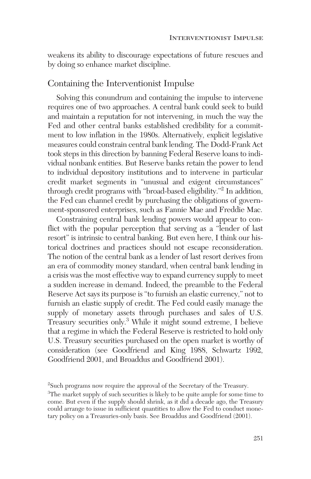weakens its ability to discourage expectations of future rescues and by doing so enhance market discipline.

# Containing the Interventionist Impulse

Solving this conundrum and containing the impulse to intervene requires one of two approaches. A central bank could seek to build and maintain a reputation for not intervening, in much the way the Fed and other central banks established credibility for a commitment to low inflation in the 1980s. Alternatively, explicit legislative measures could constrain central bank lending. The Dodd-Frank Act took steps in this direction by banning Federal Reserve loans to individual nonbank entities. But Reserve banks retain the power to lend to individual depository institutions and to intervene in particular credit market segments in "unusual and exigent circumstances" through credit programs with "broad-based eligibility."2 In addition, the Fed can channel credit by purchasing the obligations of government-sponsored enterprises, such as Fannie Mae and Freddie Mac.

Constraining central bank lending powers would appear to conflict with the popular perception that serving as a "lender of last resort" is intrinsic to central banking. But even here, I think our historical doctrines and practices should not escape reconsideration. The notion of the central bank as a lender of last resort derives from an era of commodity money standard, when central bank lending in a crisis was the most effective way to expand currency supply to meet a sudden increase in demand. Indeed, the preamble to the Federal Reserve Act says its purpose is "to furnish an elastic currency," not to furnish an elastic supply of credit. The Fed could easily manage the supply of monetary assets through purchases and sales of U.S. Treasury securities only.3 While it might sound extreme, I believe that a regime in which the Federal Reserve is restricted to hold only U.S. Treasury securities purchased on the open market is worthy of consideration (see Goodfriend and King 1988, Schwartz 1992, Goodfriend 2001, and Broaddus and Goodfriend 2001).

<sup>2</sup> Such programs now require the approval of the Secretary of the Treasury.

<sup>&</sup>lt;sup>3</sup>The market supply of such securities is likely to be quite ample for some time to come. But even if the supply should shrink, as it did a decade ago, the Treasury could arrange to issue in sufficient quantities to allow the Fed to conduct monetary policy on a Treasuries-only basis. See Broaddus and Goodfriend (2001).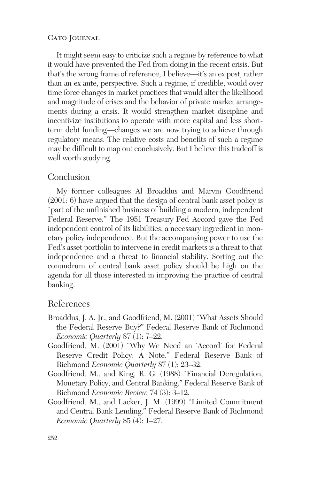#### CATO JOURNAL

It might seem easy to criticize such a regime by reference to what it would have prevented the Fed from doing in the recent crisis. But that's the wrong frame of reference, I believe—it's an ex post, rather than an ex ante, perspective. Such a regime, if credible, would over time force changes in market practices that would alter the likelihood and magnitude of crises and the behavior of private market arrangements during a crisis. It would strengthen market discipline and incentivize institutions to operate with more capital and less shortterm debt funding—changes we are now trying to achieve through regulatory means. The relative costs and benefits of such a regime may be difficult to map out conclusively. But I believe this tradeoff is well worth studying.

# Conclusion

My former colleagues Al Broaddus and Marvin Goodfriend (2001: 6) have argued that the design of central bank asset policy is "part of the unfinished business of building a modern, independent Federal Reserve." The 1951 Treasury-Fed Accord gave the Fed independent control of its liabilities, a necessary ingredient in monetary policy independence. But the accompanying power to use the Fed's asset portfolio to intervene in credit markets is a threat to that independence and a threat to financial stability. Sorting out the conundrum of central bank asset policy should be high on the agenda for all those interested in improving the practice of central banking.

#### References

- Broaddus, J. A. Jr., and Goodfriend, M. (2001) "What Assets Should the Federal Reserve Buy?" Federal Reserve Bank of Richmond *Economic Quarterly* 87 (1): 7–22.
- Goodfriend, M. (2001) "Why We Need an 'Accord' for Federal Reserve Credit Policy: A Note." Federal Reserve Bank of Richmond *Economic Quarterly* 87 (1): 23–32.
- Goodfriend, M., and King, R. G. (1988) "Financial Deregulation, Monetary Policy, and Central Banking." Federal Reserve Bank of Richmond *Economic Review* 74 (3): 3–12.
- Goodfriend, M., and Lacker, J. M. (1999) "Limited Commitment and Central Bank Lending." Federal Reserve Bank of Richmond *Economic Quarterly* 85 (4): 1–27.